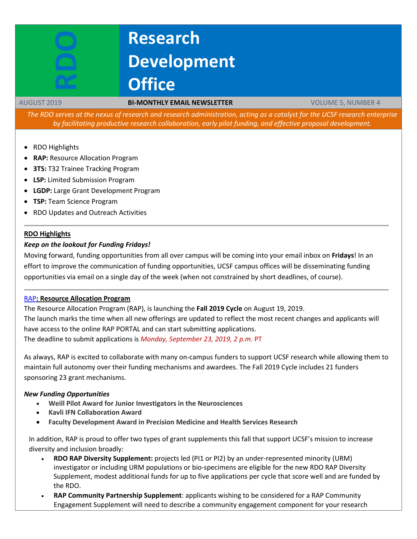# **Research Development Office**

#### AUGUST 2019 **BI-MONTHLY EMAIL NEWSLETTER** VOLUME 5, NUMBER 4

The RDO serves at the nexus of research and research administration, acting as a catalyst for the UCSF research enterprise *by facilitating productive research collaboration, early pilot funding, and effective proposal development.*

- RDO Highlights
- **RAP:** Resource Allocation Program
- **3TS:** T32 Trainee Tracking Program
- **LSP:** Limited Submission Program
- **LGDP:** Large Grant Development Program
- **TSP:** Team Science Program
- RDO Updates and Outreach Activities

#### **RDO Highlights**

#### *Keep on the lookout for Funding Fridays!*

Moving forward, funding opportunities from all over campus will be coming into your email inbox on **Fridays**! In an effort to improve the communication of funding opportunities, UCSF campus offices will be disseminating funding opportunities via email on a single day of the week (when not constrained by short deadlines, of course).

#### [RAP](https://rap.ucsf.edu/)**: Resource Allocation Program**

The Resource Allocation Program (RAP), is launching the **Fall 2019 Cycle** on August 19, 2019. The launch marks the time when all new offerings are updated to reflect the most recent changes and applicants will have access to the online RAP PORTAL and can start submitting applications. The deadline to submit applications is *Monday, September 23, 2019, 2 p.m.* PT

As always, RAP is excited to collaborate with many on-campus funders to support UCSF research while allowing them to maintain full autonomy over their funding mechanisms and awardees. The Fall 2019 Cycle includes 21 funders sponsoring 23 grant mechanisms.

#### *New Funding Opportunities*

- **Weill Pilot Award for Junior Investigators in the Neurosciences**
- **Kavli IFN Collaboration Award**
- **Faculty Development Award in Precision Medicine and Health Services Research**

In addition, RAP is proud to offer two types of grant supplements this fall that support UCSF's mission to increase diversity and inclusion broadly:

- **RDO RAP Diversity Supplement:** projects led (PI1 or PI2) by an under-represented minority (URM) investigator or including URM populations or bio-specimens are eligible for the new RDO RAP Diversity Supplement, modest additional funds for up to five applications per cycle that score well and are funded by the RDO.
- **RAP Community Partnership Supplement**: applicants wishing to be considered for a RAP Community Engagement Supplement will need to describe a community engagement component for your research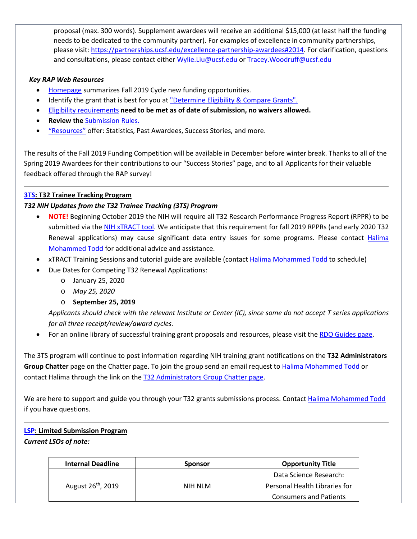proposal (max. 300 words). Supplement awardees will receive an additional \$15,000 (at least half the funding needs to be dedicated to the community partner). For examples of excellence in community partnerships, please visit: [https://partnerships.ucsf.edu/excellence-partnership-awardees#2014.](https://partnerships.ucsf.edu/excellence-partnership-awardees#2014) For clarification, questions and consultations, please contact either [Wylie.Liu@ucsf.edu](mailto:Wylie.Liu@ucsf.edu) or [Tracey.Woodruff@ucsf.edu](mailto:Tracey.Woodruff@ucsf.edu)

# *Key RAP Web Resources*

- [Homepage](https://rap.ucsf.edu/home) summarizes Fall 2019 Cycle new funding opportunities.
- Identify the grant that is best for you at ["Determine](https://rap.ucsf.edu/determine-eligibility-compare-grants) Eligibility & Compare Grants".
- Eligibility requirements **need to be met as of date of submission, no waivers allowed.**
- **Review the** [Submission](https://rap.ucsf.edu/submission-rules) Rules.
- ["Resources"](https://rap.ucsf.edu/resources) offer: Statistics, Past Awardees, Success Stories, and more.

The results of the Fall 2019 Funding Competition will be available in December before winter break. Thanks to all of the Spring 2019 Awardees for their contributions to our "Success Stories" page, and to all Applicants for their valuable feedback offered through the RAP survey!

# **[3TS:](https://accelerate.ucsf.edu/training/t32-resources#tracking) T32 Trainee Tracking Program**

# *T32 NIH Updates from the T32 Trainee Tracking (3TS) Program*

- **NOTE!** Beginning October 2019 the NIH will require all T32 Research Performance Progress Report (RPPR) to be submitted via th[e NIH xTRACT](https://grants.nih.gov/grants/guide/notice-files/NOT-OD-18-133.html) tool. We anticipate that this requirement for fall 2019 RPPRs (and early 2020 T32 Renewal applications) may cause significant data entry issues for some programs. Please contact Halima [Mohammed Todd](mailto:Halima.Mohammed@ucsf.edu) for additional advice and assistance.
- xTRACT Training Sessions and tutorial guide are available (contact [Halima Mohammed Todd](mailto:Halima.Mohammed@ucsf.edu) to schedule)
- Due Dates for Competing T32 Renewal Applications:
	- o January 25, 2020
	- o *May 25, 2020*

# o **September 25, 2019**

*Applicants should check with the relevant Institute or Center (IC), since some do not accept T series applications for all three receipt/review/award cycles.*

• For an online library of successful training grant proposals and resources, please visit the [RDO Guides page.](https://guides.ucsf.edu/rdo/traininggrants)

The 3TS program will continue to post information regarding NIH training grant notifications on the **T32 Administrators Group Chatter** page on the Chatter page. To join the group send an email request to Halima [Mohammed](mailto:Halima.Mohammed@ucsf.edu) Todd or contact Halima through the link on the T32 [Administrators](https://ucsf.my.salesforce.com/_ui/core/chatter/groups/GroupProfilePage?g=0F9A00000004SyW) Group Chatter page.

We are here to support and guide you through your T32 grants submissions process. Contact Halima [Mohammed](mailto:Halima.Mohammed@ucsf.edu) Todd if you have questions.

# **[LSP:](http://rdo.ucsf.edu/limited-submission-program-lsp) Limited Submission Program**

# *Current LSOs of note:*

| <b>Internal Deadline</b>       | <b>Sponsor</b> | <b>Opportunity Title</b>      |
|--------------------------------|----------------|-------------------------------|
| August 26 <sup>th</sup> , 2019 | NIH NLM        | Data Science Research:        |
|                                |                | Personal Health Libraries for |
|                                |                | <b>Consumers and Patients</b> |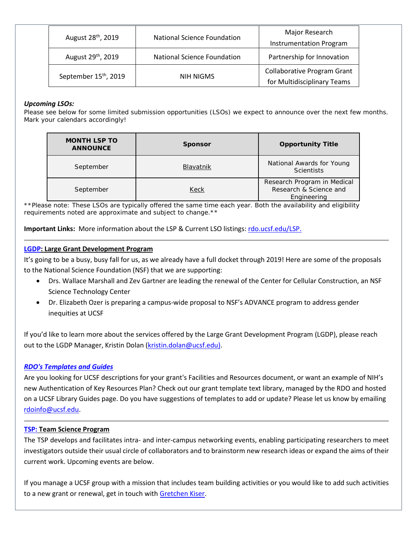| August 28 <sup>th</sup> , 2019    | <b>National Science Foundation</b> | Major Research<br>Instrumentation Program                         |
|-----------------------------------|------------------------------------|-------------------------------------------------------------------|
| August 29 <sup>th</sup> , 2019    | <b>National Science Foundation</b> | Partnership for Innovation                                        |
| September 15 <sup>th</sup> , 2019 | NIH NIGMS                          | <b>Collaborative Program Grant</b><br>for Multidisciplinary Teams |

# *Upcoming LSOs:*

Please see below for some limited submission opportunities (LSOs) we expect to announce over the next few months. Mark your calendars accordingly!

| <b>MONTH LSP TO</b><br><b>ANNOUNCE</b> | <b>Sponsor</b>   | <b>Opportunity Title</b>                                             |
|----------------------------------------|------------------|----------------------------------------------------------------------|
| September                              | <b>Blavatnik</b> | National Awards for Young<br>Scientists                              |
| September                              | Keck             | Research Program in Medical<br>Research & Science and<br>Engineering |

\*\*Please note: These LSOs are typically offered the same time each year. Both the availability and eligibility *requirements noted are approximate and subject to change.\*\**

**Important Links:** More information about the LSP & Current LSO listings: [rdo.ucsf.edu/LSP.](http://rdo.ucsf.edu/limited-submission-program-lsp)

# **[LGDP:](http://rdo.ucsf.edu/large-grant-development-program-lgdp) Large Grant Development Program**

It's going to be a busy, busy fall for us, as we already have a full docket through 2019! Here are some of the proposals to the National Science Foundation (NSF) that we are supporting:

- Drs. Wallace Marshall and Zev Gartner are leading the renewal of the Center for Cellular Construction, an NSF Science Technology Center
- Dr. Elizabeth Ozer is preparing a campus-wide proposal to NSF's ADVANCE program to address gender inequities at UCSF

If you'd like to learn more about the services offered by the Large Grant Development Program (LGDP), please reach out to the LGDP Manager, Kristin Dolan [\(kristin.dolan@ucsf.edu\)](mailto:kristin.dolan@ucsf.edu).

#### *[RDO's Templates and Guides](http://guides.ucsf.edu/rdo)*

Are you looking for UCSF descriptions for your grant's Facilities and Resources document, or want an example of NIH's new Authentication of Key Resources Plan? Check out our grant template text library, managed by the RDO and hosted on a UCSF Library Guides page. Do you have suggestions of templates to add or update? Please let us know by emailing [rdoinfo@ucsf.edu.](mailto:rdoindo@ucsf.edu?subject=RDO%20Templates%20and%20Guides)

#### **[TSP:](http://rdo.ucsf.edu/team-science-research-innovation-program-tsrip) Team Science Program**

The TSP develops and facilitates intra- and inter-campus networking events, enabling participating researchers to meet investigators outside their usual circle of collaborators and to brainstorm new research ideas or expand the aims of their current work. Upcoming events are below.

If you manage a UCSF group with a mission that includes team building activities or you would like to add such activities to a new grant or renewal, get in touch with [Gretchen Kiser.](mailto:gretchen.kiser@ucsf.edu?subject=TSP%20inquiry)